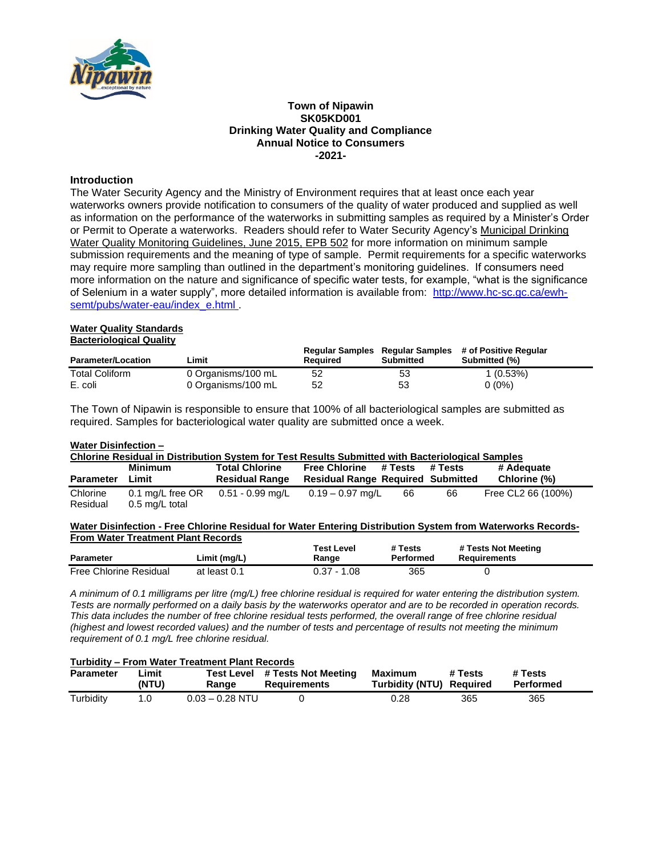

### **Town of Nipawin SK05KD001 Drinking Water Quality and Compliance Annual Notice to Consumers -2021-**

## **Introduction**

The Water Security Agency and the Ministry of Environment requires that at least once each year waterworks owners provide notification to consumers of the quality of water produced and supplied as well as information on the performance of the waterworks in submitting samples as required by a Minister's Order or Permit to Operate a waterworks. Readers should refer to Water Security Agency's Municipal Drinking Water Quality Monitoring Guidelines, June 2015, EPB 502 for more information on minimum sample submission requirements and the meaning of type of sample. Permit requirements for a specific waterworks may require more sampling than outlined in the department's monitoring guidelines. If consumers need more information on the nature and significance of specific water tests, for example, "what is the significance of Selenium in a water supply", more detailed information is available from: [http://www.hc-sc.gc.ca/ewh](http://www.hc-sc.gc.ca/ewh-semt/pubs/water-eau/index_e.html)[semt/pubs/water-eau/index\\_e.html](http://www.hc-sc.gc.ca/ewh-semt/pubs/water-eau/index_e.html) .

#### **Water Quality Standards Bacteriological Quality**

| <b>Parameter/Location</b> | Limit              | Required | Submitted | Regular Samples Regular Samples # of Positive Regular<br>Submitted (%) |
|---------------------------|--------------------|----------|-----------|------------------------------------------------------------------------|
| <b>Total Coliform</b>     | 0 Organisms/100 mL | 52       | 53        | $1(0.53\%)$                                                            |
| E. coli                   | 0 Organisms/100 mL | 52       | 53        | $0(0\%)$                                                               |

The Town of Nipawin is responsible to ensure that 100% of all bacteriological samples are submitted as required. Samples for bacteriological water quality are submitted once a week.

### **Water Disinfection –**

| Chlorine Residual in Distribution System for Test Results Submitted with Bacteriological Samples |                  |                       |                                          |         |         |                    |
|--------------------------------------------------------------------------------------------------|------------------|-----------------------|------------------------------------------|---------|---------|--------------------|
|                                                                                                  | <b>Minimum</b>   | <b>Total Chlorine</b> | <b>Free Chlorine</b>                     | # Tests | # Tests | # Adequate         |
| <b>Parameter</b>                                                                                 | Limit            | <b>Residual Range</b> | <b>Residual Range Required Submitted</b> |         |         | Chlorine (%)       |
| Chlorine                                                                                         | 0.1 mg/L free OR | 0.51 - 0.99 mg/L      | 0.19 – 0.97 ma/L                         | 66      | 66      | Free CL2 66 (100%) |
| Residual                                                                                         | 0.5 mg/L total   |                       |                                          |         |         |                    |

#### **Water Disinfection - Free Chlorine Residual for Water Entering Distribution System from Waterworks Records-From Water Treatment Plant Records**

| <b>Parameter</b>              | ∟imit (mg/L) | Test Level<br>Range | # Tests<br>Performed | # Tests Not Meeting<br>Requirements |
|-------------------------------|--------------|---------------------|----------------------|-------------------------------------|
| <b>Free Chlorine Residual</b> | at least 0.1 | $0.37 - 1.08$       | 365                  |                                     |

*A minimum of 0.1 milligrams per litre (mg/L) free chlorine residual is required for water entering the distribution system. Tests are normally performed on a daily basis by the waterworks operator and are to be recorded in operation records. This data includes the number of free chlorine residual tests performed, the overall range of free chlorine residual (highest and lowest recorded values) and the number of tests and percentage of results not meeting the minimum requirement of 0.1 mg/L free chlorine residual.*

#### **Turbidity – From Water Treatment Plant Records**

| <b>Parameter</b> | Limit<br>(NTU) | Test Level<br>Ranɑe | # Tests Not Meeting<br><b>Requirements</b> | <b>Maximum</b><br>Turbidity (NTU) Reauired | # Tests | # Tests<br>Performed |
|------------------|----------------|---------------------|--------------------------------------------|--------------------------------------------|---------|----------------------|
| Turbidity        |                | 0.03 – 0.28 NTU     |                                            | 0.28                                       | 365     | 365                  |